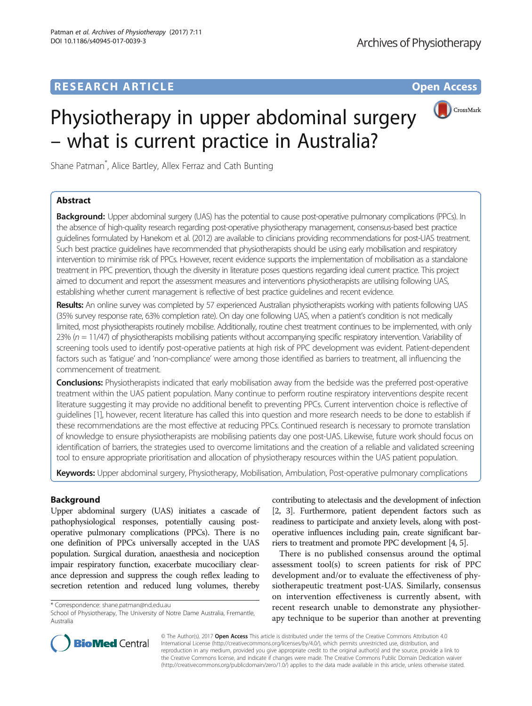# **RESEARCH ARTICLE Example 2014 12:30 The Contract of Contract ACCESS**



# Physiotherapy in upper abdominal surgery – what is current practice in Australia?

Shane Patman\* , Alice Bartley, Allex Ferraz and Cath Bunting

# Abstract

Background: Upper abdominal surgery (UAS) has the potential to cause post-operative pulmonary complications (PPCs). In the absence of high-quality research regarding post-operative physiotherapy management, consensus-based best practice guidelines formulated by Hanekom et al. (2012) are available to clinicians providing recommendations for post-UAS treatment. Such best practice guidelines have recommended that physiotherapists should be using early mobilisation and respiratory intervention to minimise risk of PPCs. However, recent evidence supports the implementation of mobilisation as a standalone treatment in PPC prevention, though the diversity in literature poses questions regarding ideal current practice. This project aimed to document and report the assessment measures and interventions physiotherapists are utilising following UAS, establishing whether current management is reflective of best practice guidelines and recent evidence.

Results: An online survey was completed by 57 experienced Australian physiotherapists working with patients following UAS (35% survey response rate, 63% completion rate). On day one following UAS, when a patient's condition is not medically limited, most physiotherapists routinely mobilise. Additionally, routine chest treatment continues to be implemented, with only  $23\%$  ( $n = 11/47$ ) of physiotherapists mobilising patients without accompanying specific respiratory intervention. Variability of screening tools used to identify post-operative patients at high risk of PPC development was evident. Patient-dependent factors such as 'fatigue' and 'non-compliance' were among those identified as barriers to treatment, all influencing the commencement of treatment.

Conclusions: Physiotherapists indicated that early mobilisation away from the bedside was the preferred post-operative treatment within the UAS patient population. Many continue to perform routine respiratory interventions despite recent literature suggesting it may provide no additional benefit to preventing PPCs. Current intervention choice is reflective of guidelines [\[1\]](#page-9-0), however, recent literature has called this into question and more research needs to be done to establish if these recommendations are the most effective at reducing PPCs. Continued research is necessary to promote translation of knowledge to ensure physiotherapists are mobilising patients day one post-UAS. Likewise, future work should focus on identification of barriers, the strategies used to overcome limitations and the creation of a reliable and validated screening tool to ensure appropriate prioritisation and allocation of physiotherapy resources within the UAS patient population.

Keywords: Upper abdominal surgery, Physiotherapy, Mobilisation, Ambulation, Post-operative pulmonary complications

# Background

Upper abdominal surgery (UAS) initiates a cascade of pathophysiological responses, potentially causing postoperative pulmonary complications (PPCs). There is no one definition of PPCs universally accepted in the UAS population. Surgical duration, anaesthesia and nociception impair respiratory function, exacerbate mucociliary clearance depression and suppress the cough reflex leading to secretion retention and reduced lung volumes, thereby

contributing to atelectasis and the development of infection [[2](#page-9-0), [3](#page-9-0)]. Furthermore, patient dependent factors such as readiness to participate and anxiety levels, along with postoperative influences including pain, create significant barriers to treatment and promote PPC development [\[4, 5](#page-9-0)].

There is no published consensus around the optimal assessment tool(s) to screen patients for risk of PPC development and/or to evaluate the effectiveness of physiotherapeutic treatment post-UAS. Similarly, consensus on intervention effectiveness is currently absent, with recent research unable to demonstrate any physiotherapy technique to be superior than another at preventing



© The Author(s). 2017 **Open Access** This article is distributed under the terms of the Creative Commons Attribution 4.0 International License [\(http://creativecommons.org/licenses/by/4.0/](http://creativecommons.org/licenses/by/4.0/)), which permits unrestricted use, distribution, and reproduction in any medium, provided you give appropriate credit to the original author(s) and the source, provide a link to the Creative Commons license, and indicate if changes were made. The Creative Commons Public Domain Dedication waiver [\(http://creativecommons.org/publicdomain/zero/1.0/](http://creativecommons.org/publicdomain/zero/1.0/)) applies to the data made available in this article, unless otherwise stated.

<sup>\*</sup> Correspondence: [shane.patman@nd.edu.au](mailto:shane.patman@nd.edu.au)

School of Physiotherapy, The University of Notre Dame Australia, Fremantle, Australia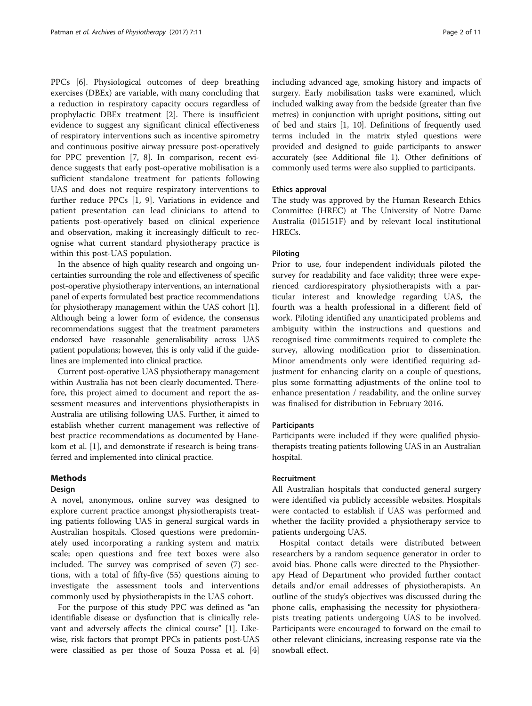PPCs [\[6](#page-9-0)]. Physiological outcomes of deep breathing exercises (DBEx) are variable, with many concluding that a reduction in respiratory capacity occurs regardless of prophylactic DBEx treatment [[2\]](#page-9-0). There is insufficient evidence to suggest any significant clinical effectiveness of respiratory interventions such as incentive spirometry and continuous positive airway pressure post-operatively for PPC prevention [\[7](#page-9-0), [8\]](#page-9-0). In comparison, recent evidence suggests that early post-operative mobilisation is a sufficient standalone treatment for patients following UAS and does not require respiratory interventions to further reduce PPCs [[1, 9](#page-9-0)]. Variations in evidence and patient presentation can lead clinicians to attend to patients post-operatively based on clinical experience and observation, making it increasingly difficult to recognise what current standard physiotherapy practice is within this post-UAS population.

In the absence of high quality research and ongoing uncertainties surrounding the role and effectiveness of specific post-operative physiotherapy interventions, an international panel of experts formulated best practice recommendations for physiotherapy management within the UAS cohort [[1](#page-9-0)]. Although being a lower form of evidence, the consensus recommendations suggest that the treatment parameters endorsed have reasonable generalisability across UAS patient populations; however, this is only valid if the guidelines are implemented into clinical practice.

Current post-operative UAS physiotherapy management within Australia has not been clearly documented. Therefore, this project aimed to document and report the assessment measures and interventions physiotherapists in Australia are utilising following UAS. Further, it aimed to establish whether current management was reflective of best practice recommendations as documented by Hanekom et al. [\[1](#page-9-0)], and demonstrate if research is being transferred and implemented into clinical practice.

#### Methods

#### Design

A novel, anonymous, online survey was designed to explore current practice amongst physiotherapists treating patients following UAS in general surgical wards in Australian hospitals. Closed questions were predominately used incorporating a ranking system and matrix scale; open questions and free text boxes were also included. The survey was comprised of seven (7) sections, with a total of fifty-five (55) questions aiming to investigate the assessment tools and interventions commonly used by physiotherapists in the UAS cohort.

For the purpose of this study PPC was defined as "an identifiable disease or dysfunction that is clinically relevant and adversely affects the clinical course" [[1](#page-9-0)]. Likewise, risk factors that prompt PPCs in patients post-UAS were classified as per those of Souza Possa et al. [[4](#page-9-0)] including advanced age, smoking history and impacts of surgery. Early mobilisation tasks were examined, which included walking away from the bedside (greater than five metres) in conjunction with upright positions, sitting out of bed and stairs [[1, 10\]](#page-9-0). Definitions of frequently used terms included in the matrix styled questions were provided and designed to guide participants to answer accurately (see Additional file [1](#page-9-0)). Other definitions of commonly used terms were also supplied to participants.

#### Ethics approval

The study was approved by the Human Research Ethics Committee (HREC) at The University of Notre Dame Australia (015151F) and by relevant local institutional HRECs.

#### Piloting

Prior to use, four independent individuals piloted the survey for readability and face validity; three were experienced cardiorespiratory physiotherapists with a particular interest and knowledge regarding UAS, the fourth was a health professional in a different field of work. Piloting identified any unanticipated problems and ambiguity within the instructions and questions and recognised time commitments required to complete the survey, allowing modification prior to dissemination. Minor amendments only were identified requiring adjustment for enhancing clarity on a couple of questions, plus some formatting adjustments of the online tool to enhance presentation / readability, and the online survey was finalised for distribution in February 2016.

#### Participants

Participants were included if they were qualified physiotherapists treating patients following UAS in an Australian hospital.

### Recruitment

All Australian hospitals that conducted general surgery were identified via publicly accessible websites. Hospitals were contacted to establish if UAS was performed and whether the facility provided a physiotherapy service to patients undergoing UAS.

Hospital contact details were distributed between researchers by a random sequence generator in order to avoid bias. Phone calls were directed to the Physiotherapy Head of Department who provided further contact details and/or email addresses of physiotherapists. An outline of the study's objectives was discussed during the phone calls, emphasising the necessity for physiotherapists treating patients undergoing UAS to be involved. Participants were encouraged to forward on the email to other relevant clinicians, increasing response rate via the snowball effect.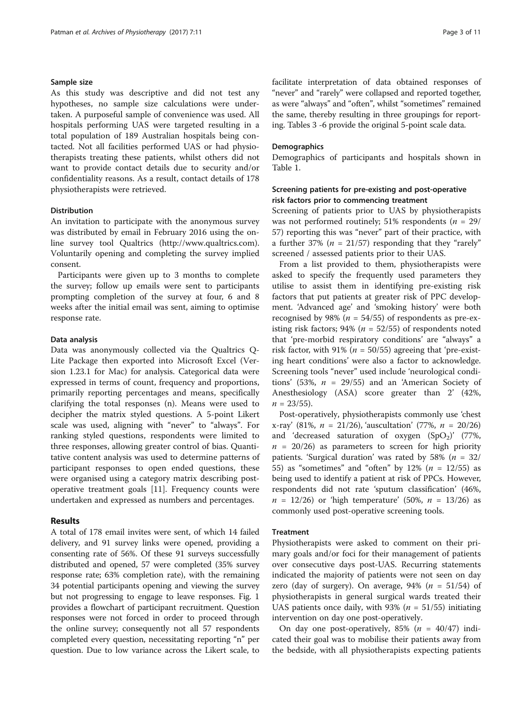#### Sample size

As this study was descriptive and did not test any hypotheses, no sample size calculations were undertaken. A purposeful sample of convenience was used. All hospitals performing UAS were targeted resulting in a total population of 189 Australian hospitals being contacted. Not all facilities performed UAS or had physiotherapists treating these patients, whilst others did not want to provide contact details due to security and/or confidentiality reasons. As a result, contact details of 178 physiotherapists were retrieved.

#### **Distribution**

An invitation to participate with the anonymous survey was distributed by email in February 2016 using the online survey tool Qualtrics [\(http://www.qualtrics.com](http://www.qualtrics.com)). Voluntarily opening and completing the survey implied consent.

Participants were given up to 3 months to complete the survey; follow up emails were sent to participants prompting completion of the survey at four, 6 and 8 weeks after the initial email was sent, aiming to optimise response rate.

#### Data analysis

Data was anonymously collected via the Qualtrics Q-Lite Package then exported into Microsoft Excel (Version 1.23.1 for Mac) for analysis. Categorical data were expressed in terms of count, frequency and proportions, primarily reporting percentages and means, specifically clarifying the total responses (n). Means were used to decipher the matrix styled questions. A 5-point Likert scale was used, aligning with "never" to "always". For ranking styled questions, respondents were limited to three responses, allowing greater control of bias. Quantitative content analysis was used to determine patterns of participant responses to open ended questions, these were organised using a category matrix describing postoperative treatment goals [\[11\]](#page-9-0). Frequency counts were undertaken and expressed as numbers and percentages.

#### **Results**

A total of 178 email invites were sent, of which 14 failed delivery, and 91 survey links were opened, providing a consenting rate of 56%. Of these 91 surveys successfully distributed and opened, 57 were completed (35% survey response rate; 63% completion rate), with the remaining 34 potential participants opening and viewing the survey but not progressing to engage to leave responses. Fig. [1](#page-3-0) provides a flowchart of participant recruitment. Question responses were not forced in order to proceed through the online survey; consequently not all 57 respondents completed every question, necessitating reporting "n" per question. Due to low variance across the Likert scale, to

facilitate interpretation of data obtained responses of "never" and "rarely" were collapsed and reported together, as were "always" and "often", whilst "sometimes" remained the same, thereby resulting in three groupings for reporting. Tables [3](#page-5-0) -6 provide the original 5-point scale data.

#### **Demographics**

Demographics of participants and hospitals shown in Table [1.](#page-4-0)

#### Screening patients for pre-existing and post-operative risk factors prior to commencing treatment

Screening of patients prior to UAS by physiotherapists was not performed routinely; 51% respondents  $(n = 29)$ 57) reporting this was "never" part of their practice, with a further 37% ( $n = 21/57$ ) responding that they "rarely" screened / assessed patients prior to their UAS.

From a list provided to them, physiotherapists were asked to specify the frequently used parameters they utilise to assist them in identifying pre-existing risk factors that put patients at greater risk of PPC development. 'Advanced age' and 'smoking history' were both recognised by 98% ( $n = 54/55$ ) of respondents as pre-existing risk factors; 94% ( $n = 52/55$ ) of respondents noted that 'pre-morbid respiratory conditions' are "always" a risk factor, with 91% ( $n = 50/55$ ) agreeing that 'pre-existing heart conditions' were also a factor to acknowledge. Screening tools "never" used include 'neurological conditions' (53%,  $n = 29/55$ ) and an 'American Society of Anesthesiology (ASA) score greater than 2' (42%,  $n = 23/55$ ).

Post-operatively, physiotherapists commonly use 'chest x-ray' (81%,  $n = 21/26$ ), 'auscultation' (77%,  $n = 20/26$ ) and 'decreased saturation of oxygen  $(SpO<sub>2</sub>)'$  (77%,  $n = 20/26$ ) as parameters to screen for high priority patients. 'Surgical duration' was rated by 58% ( $n = 32/$ 55) as "sometimes" and "often" by 12%  $(n = 12/55)$  as being used to identify a patient at risk of PPCs. However, respondents did not rate 'sputum classification' (46%,  $n = 12/26$  or 'high temperature' (50%,  $n = 13/26$ ) as commonly used post-operative screening tools.

## Treatment

Physiotherapists were asked to comment on their primary goals and/or foci for their management of patients over consecutive days post-UAS. Recurring statements indicated the majority of patients were not seen on day zero (day of surgery). On average,  $94\%$  ( $n = 51/54$ ) of physiotherapists in general surgical wards treated their UAS patients once daily, with 93% ( $n = 51/55$ ) initiating intervention on day one post-operatively.

On day one post-operatively, 85% ( $n = 40/47$ ) indicated their goal was to mobilise their patients away from the bedside, with all physiotherapists expecting patients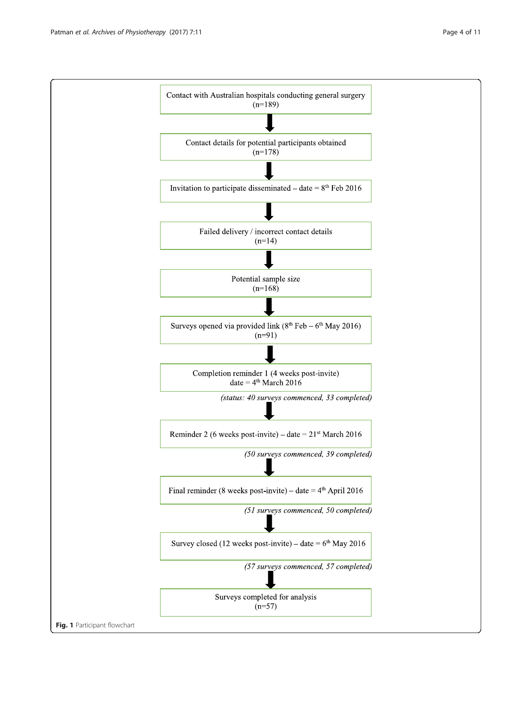<span id="page-3-0"></span>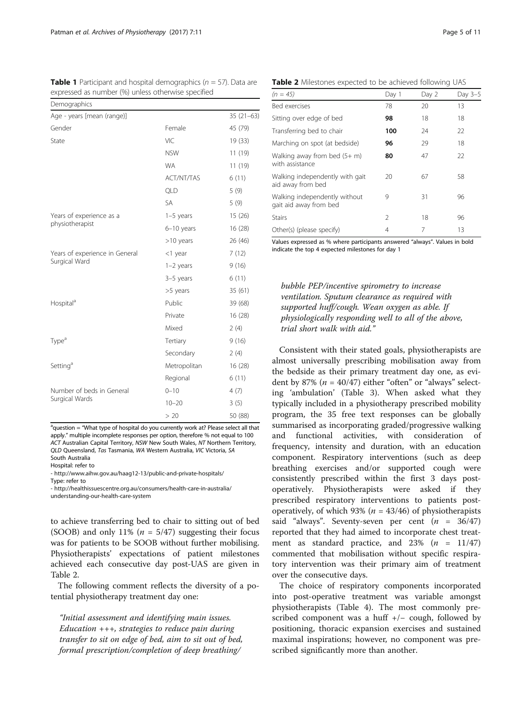<span id="page-4-0"></span>**Table 1** Participant and hospital demographics ( $n = 57$ ). Data are expressed as number (%) unless otherwise specified

| Demographics                   |                   |             |  |
|--------------------------------|-------------------|-------------|--|
| Age - years [mean (range)]     |                   | $35(21-63)$ |  |
| Gender                         | Female            | 45 (79)     |  |
| State                          | VIC               | 19 (33)     |  |
|                                | <b>NSW</b>        | 11(19)      |  |
|                                | <b>WA</b>         | 11 (19)     |  |
|                                | <b>ACT/NT/TAS</b> | 6(11)       |  |
|                                | <b>QLD</b>        | 5(9)        |  |
|                                | SA                | 5(9)        |  |
| Years of experience as a       | $1-5$ years       | 15 (26)     |  |
| physiotherapist                | $6-10$ years      | 16(28)      |  |
|                                | $>10$ years       | 26 (46)     |  |
| Years of experience in General | <1 year           | 7(12)       |  |
| Surgical Ward                  | $1-2$ years       | 9(16)       |  |
|                                | 3-5 years         | 6(11)       |  |
|                                | >5 years          | 35(61)      |  |
| Hospital <sup>a</sup>          | Public            | 39 (68)     |  |
|                                | Private           | 16(28)      |  |
|                                | Mixed             | 2(4)        |  |
| Type <sup>a</sup>              | Tertiary          | 9(16)       |  |
|                                | Secondary         | 2(4)        |  |
| Setting <sup>a</sup>           | Metropolitan      | 16(28)      |  |
|                                | Regional          | 6(11)       |  |
| Number of beds in General      | $0 - 10$          | 4(7)        |  |
| Surgical Wards                 | $10 - 20$         | 3(5)        |  |
|                                | > 20              | 50 (88)     |  |

<sup>a</sup>question = "What type of hospital do you currently work at? Please select all that apply." multiple incomplete responses per option, therefore % not equal to 100 ACT Australian Capital Territory, NSW New South Wales, NT Northern Territory, QLD Queensland, Tas Tasmania, WA Western Australia, VIC Victoria, SA South Australia

Hospital: refer to

- <http://www.aihw.gov.au/haag12-13/public-and-private-hospitals/>

Type: refer to

- [http://healthissuescentre.org.au/consumers/health-care-in-australia/](http://healthissuescentre.org.au/consumers/health-care-in-australia/understanding-our-health-care-system) [understanding-our-health-care-system](http://healthissuescentre.org.au/consumers/health-care-in-australia/understanding-our-health-care-system)

to achieve transferring bed to chair to sitting out of bed (SOOB) and only 11% ( $n = 5/47$ ) suggesting their focus was for patients to be SOOB without further mobilising. Physiotherapists' expectations of patient milestones achieved each consecutive day post-UAS are given in Table 2.

The following comment reflects the diversity of a potential physiotherapy treatment day one:

"Initial assessment and identifying main issues.  $Education$  +++, strategies to reduce pain during transfer to sit on edge of bed, aim to sit out of bed, formal prescription/completion of deep breathing/

Table 2 Milestones expected to be achieved following UAS

| $(n = 45)$                                              | Day 1          | Day 2 | Day 3-5 |
|---------------------------------------------------------|----------------|-------|---------|
| <b>Bed exercises</b>                                    | 78             | 20    | 13      |
| Sitting over edge of bed                                | 98             | 18    | 18      |
| Transferring bed to chair                               | 100            | 24    | 22      |
| Marching on spot (at bedside)                           | 96             | 29    | 18      |
| Walking away from bed (5+ m)<br>with assistance         | 80             | 47    | 22      |
| Walking independently with gait<br>aid away from bed    | 20             | 67    | 58      |
| Walking independently without<br>gait aid away from bed | 9              | 31    | 96      |
| <b>Stairs</b>                                           | $\mathfrak{D}$ | 18    | 96      |
| Other(s) (please specify)                               | 4              | 7     | 13      |

Values expressed as % where participants answered "always". Values in bold indicate the top 4 expected milestones for day 1

bubble PEP/incentive spirometry to increase ventilation. Sputum clearance as required with supported huff/cough. Wean oxygen as able. If physiologically responding well to all of the above, trial short walk with aid."

Consistent with their stated goals, physiotherapists are almost universally prescribing mobilisation away from the bedside as their primary treatment day one, as evident by 87% ( $n = 40/47$ ) either "often" or "always" selecting 'ambulation' (Table [3](#page-5-0)). When asked what they typically included in a physiotherapy prescribed mobility program, the 35 free text responses can be globally summarised as incorporating graded/progressive walking and functional activities, with consideration of frequency, intensity and duration, with an education component. Respiratory interventions (such as deep breathing exercises and/or supported cough were consistently prescribed within the first 3 days postoperatively. Physiotherapists were asked if they prescribed respiratory interventions to patients postoperatively, of which 93% ( $n = 43/46$ ) of physiotherapists said "always". Seventy-seven per cent  $(n = 36/47)$ reported that they had aimed to incorporate chest treatment as standard practice, and  $23\%$  ( $n = 11/47$ ) commented that mobilisation without specific respiratory intervention was their primary aim of treatment over the consecutive days.

The choice of respiratory components incorporated into post-operative treatment was variable amongst physiotherapists (Table [4\)](#page-5-0). The most commonly prescribed component was a huff +/− cough, followed by positioning, thoracic expansion exercises and sustained maximal inspirations; however, no component was prescribed significantly more than another.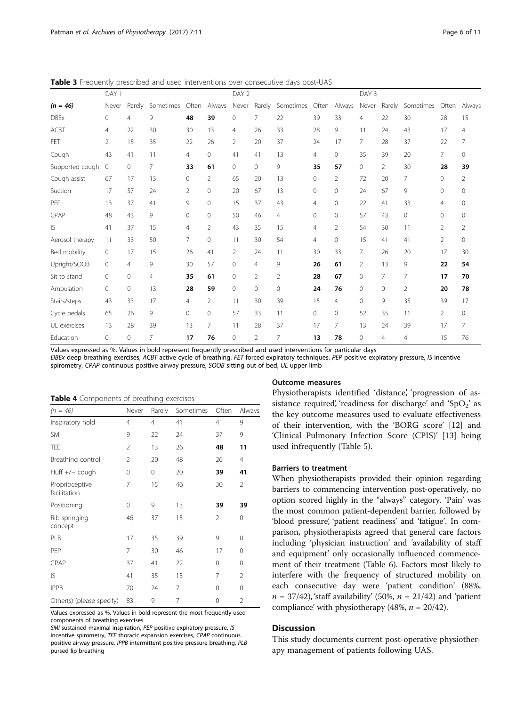<span id="page-5-0"></span>Table 3 Frequently prescribed and used interventions over consecutive days post-UAS

|                 | DAY 1          |                |                |                |                | DAY <sub>2</sub> |                |                |                |                | DAY 3          |                |                |                |                |
|-----------------|----------------|----------------|----------------|----------------|----------------|------------------|----------------|----------------|----------------|----------------|----------------|----------------|----------------|----------------|----------------|
| $(n = 46)$      | Never          | Rarely         | Sometimes      | Often          | Always         | Never            | Rarely         | Sometimes      | Often          | Always         | Never          | Rarely         | Sometimes      |                | Often Always   |
| <b>DBEx</b>     | $\mathbf{0}$   | $\overline{4}$ | 9              | 48             | 39             | $\mathbf 0$      | 7              | 22             | 39             | 33             | $\overline{4}$ | 22             | 30             | 28             | 15             |
| <b>ACBT</b>     | $\overline{4}$ | 22             | 30             | 30             | 13             | $\overline{4}$   | 26             | 33             | 28             | 9              | 11             | 24             | 43             | 17             | $\overline{4}$ |
| <b>FET</b>      | $\overline{2}$ | 15             | 35             | 22             | 26             | $\overline{2}$   | 20             | 37             | 24             | 17             | $\overline{7}$ | 28             | 37             | 22             | 7              |
| Cough           | 43             | 41             | 11             | $\overline{4}$ | 0              | 41               | 41             | 13             | $\overline{4}$ | $\mathbf{0}$   | 35             | 39             | 20             | $\overline{7}$ | 0              |
| Supported cough | $\mathbf{0}$   | $\circ$        | 7              | 33             | 61             | $\mathbf{0}$     | $\circ$        | 9              | 35             | 57             | $\circ$        | $\overline{2}$ | 30             | 28             | 39             |
| Cough assist    | 67             | 17             | 13             | $\mathbf{0}$   | $\overline{2}$ | 65               | 20             | 13             | $\circ$        | $\overline{2}$ | 72             | 20             | 7              | $\circ$        | $\overline{2}$ |
| Suction         | 17             | 57             | 24             | $\overline{2}$ | $\mathbf 0$    | 20               | 67             | 13             | $\mathbf{0}$   | $\mathbf{0}$   | 24             | 67             | 9              | $\mathbf{0}$   | $\mathbf{0}$   |
| PEP             | 13             | 37             | 41             | 9              | $\mathbf 0$    | 15               | 37             | 43             | $\overline{4}$ | $\mathbf 0$    | 22             | 41             | 33             | $\overline{4}$ | $\mathbf{0}$   |
| CPAP            | 48             | 43             | $\circ$        | $\mathbf{0}$   | $\Omega$       | 50               | 46             | 4              | $\mathbf{0}$   | $\Omega$       | 57             | 43             | 0              | $\mathbf{0}$   | $\Omega$       |
| $\mathsf{IS}$   | 41             | 37             | 15             | $\overline{4}$ | $\overline{2}$ | 43               | 35             | 15             | $\overline{4}$ | $\overline{2}$ | 54             | 30             | 11             | $\overline{2}$ | $\overline{2}$ |
| Aerosol therapy | 11             | 33             | 50             | 7              | $\Omega$       | 11               | 30             | 54             | $\overline{4}$ | $\Omega$       | 15             | 41             | 41             | $\overline{2}$ | $\mathbf{0}$   |
| Bed mobility    | $\mathbf{0}$   | 17             | 15             | 26             | 41             | 2                | 24             | 11             | 30             | 33             | 7              | 26             | 20             | 17             | 30             |
| Upright/SOOB    | $\circ$        | $\overline{4}$ | 9              | 30             | 57             | $\mathbf{0}$     | $\overline{4}$ | 9              | 26             | 61             | $\overline{2}$ | 13             | 9              | 22             | 54             |
| Sit to stand    | $\mathbf{0}$   | $\circ$        | $\overline{4}$ | 35             | 61             | $\mathbf{0}$     | $\overline{2}$ | $\overline{2}$ | 28             | 67             | $\mathbf{0}$   | $\overline{7}$ | 7              | 17             | 70             |
| Ambulation      | $\mathbf{0}$   | $\Omega$       | 13             | 28             | 59             | $\mathbf{0}$     | $\mathbf{0}$   | $\mathbf 0$    | 24             | 76             | $\mathbf{0}$   | $\mathbf{0}$   | 2              | 20             | 78             |
| Stairs/steps    | 43             | 33             | 17             | $\overline{4}$ | $\overline{2}$ | 11               | 30             | 39             | 15             | $\overline{4}$ | $\Omega$       | 9              | 35             | 39             | 17             |
| Cycle pedals    | 65             | 26             | $\circ$        | $\Omega$       | $\Omega$       | 57               | 33             | 11             | $\circ$        | $\mathbf{0}$   | 52             | 35             | 11             | $\overline{2}$ | $\circ$        |
| UL exercises    | 13             | 28             | 39             | 13             | 7              | 11               | 28             | 37             | 17             | 7              | 13             | 24             | 39             | 17             | $\overline{7}$ |
| Education       | $\Omega$       | $\circ$        | 7              | 17             | 76             | 0                | $\overline{2}$ | 7              | 13             | 78             | $\mathbf{0}$   | $\overline{4}$ | $\overline{4}$ | 15             | 76             |

Values expressed as %. Values in bold represent frequently prescribed and used interventions for particular days

DBEx deep breathing exercises, ACBT active cycle of breathing, FET forced expiratory techniques, PEP positive expiratory pressure, IS incentive spirometry, CPAP continuous positive airway pressure, SOOB sitting out of bed, UL upper limb

|  | Table 4 Components of breathing exercises |  |  |
|--|-------------------------------------------|--|--|
|--|-------------------------------------------|--|--|

| $(n = 46)$                     | Never          | Rarely         | Sometimes | Often          | Always         |
|--------------------------------|----------------|----------------|-----------|----------------|----------------|
| Inspiratory hold               | $\overline{4}$ | $\overline{4}$ | 41        | 41             | 9              |
| SMI                            | 9              | 22             | 24        | 37             | 9              |
| <b>TEE</b>                     | 2              | 13             | 26        | 48             | 11             |
| Breathing control              | 2              | 20             | 48        | 26             | $\overline{4}$ |
| Huff $+/-$ cough               | $\mathbf 0$    | 0              | 20        | 39             | 41             |
| Proprioceptive<br>facilitation | 7              | 15             | 46        | 30             | $\overline{2}$ |
| Positioning                    | $\mathbf 0$    | 9              | 13        | 39             | 39             |
| Rib springing<br>concept       | 46             | 37             | 15        | $\overline{2}$ | 0              |
| PLB                            | 17             | 35             | 39        | 9              | 0              |
| PEP                            | 7              | 30             | 46        | 17             | $\Omega$       |
| CPAP                           | 37             | 41             | 22        | 0              | 0              |
| IS                             | 41             | 35             | 15        | 7              | $\overline{2}$ |
| <b>IPPB</b>                    | 70             | 24             | 7         | $\Omega$       | 0              |
| Other(s) (please specify)      | 83             | 9              | 7         | 0              | $\overline{2}$ |

Values expressed as %. Values in bold represent the most frequently used components of breathing exercises

SMI sustained maximal inspiration, PEP positive expiratory pressure, IS incentive spirometry, TEE thoracic expansion exercises, CPAP continuous positive airway pressure, IPPB intermittent positive pressure breathing, PLB pursed lip breathing

#### Outcome measures

Physiotherapists identified 'distance', 'progression of assistance required', 'readiness for discharge' and 'SpO<sub>2</sub>' as the key outcome measures used to evaluate effectiveness of their intervention, with the 'BORG score' [\[12](#page-9-0)] and 'Clinical Pulmonary Infection Score (CPIS)' [\[13](#page-9-0)] being used infrequently (Table [5\)](#page-6-0).

#### Barriers to treatment

When physiotherapists provided their opinion regarding barriers to commencing intervention post-operatively, no option scored highly in the "always" category. 'Pain' was the most common patient-dependent barrier, followed by 'blood pressure', 'patient readiness' and 'fatigue'. In comparison, physiotherapists agreed that general care factors including 'physician instruction' and 'availability of staff and equipment' only occasionally influenced commencement of their treatment (Table [6](#page-6-0)). Factors most likely to interfere with the frequency of structured mobility on each consecutive day were 'patient condition' (88%,  $n = 37/42$ , 'staff availability' (50%,  $n = 21/42$ ) and 'patient compliance' with physiotherapy (48%,  $n = 20/42$ ).

# **Discussion**

This study documents current post-operative physiotherapy management of patients following UAS.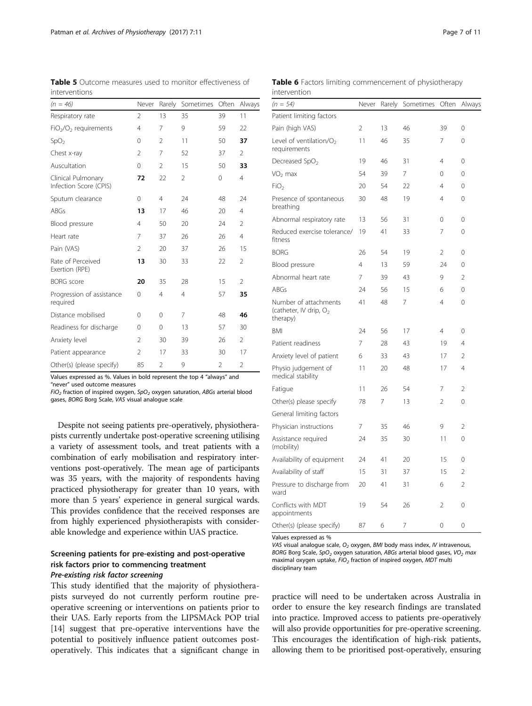Other(s) (please specify) 85 2 9 2 2 Values expressed as %. Values in bold represent the top 4 "always" and

"never" used outcome measures

 $FiO<sub>2</sub>$  fraction of inspired oxygen, SpO<sub>2</sub> oxygen saturation, ABGs arterial blood gases, BORG Borg Scale, VAS visual analogue scale

Despite not seeing patients pre-operatively, physiotherapists currently undertake post-operative screening utilising a variety of assessment tools, and treat patients with a combination of early mobilisation and respiratory interventions post-operatively. The mean age of participants was 35 years, with the majority of respondents having practiced physiotherapy for greater than 10 years, with more than 5 years' experience in general surgical wards. This provides confidence that the received responses are from highly experienced physiotherapists with considerable knowledge and experience within UAS practice.

# Screening patients for pre-existing and post-operative risk factors prior to commencing treatment

This study identified that the majority of physiotherapists surveyed do not currently perform routine preoperative screening or interventions on patients prior to their UAS. Early reports from the LIPSMAck POP trial [[14\]](#page-10-0) suggest that pre-operative interventions have the potential to positively influence patient outcomes postoperatively. This indicates that a significant change in

| SpO <sub>2</sub>       |    |    |    | 50 | 37            | Level of ventilation/ $O2$ | 46 |
|------------------------|----|----|----|----|---------------|----------------------------|----|
| Chest x-ray            |    |    | 52 | 37 | $\mathcal{L}$ | requirements               |    |
| Auscultation           |    |    | 15 | 50 | 33            | Decreased $SpO2$           | 46 |
| Clinical Pulmonary     | 72 | 22 |    |    | 4             | $VO2$ max                  | 39 |
| Infection Score (CPIS) |    |    |    |    |               | FiO <sub>2</sub>           | 54 |
|                        |    |    |    |    |               |                            |    |

Patient limiting factors

| Pain (high VAS)                                                         | 2  | 13 | 46 | 39             | 0              |
|-------------------------------------------------------------------------|----|----|----|----------------|----------------|
| Level of ventilation/O <sub>2</sub><br>requirements                     | 11 | 46 | 35 | 7              | 0              |
| Decreased $SpO2$                                                        | 19 | 46 | 31 | 4              | 0              |
| $VO2$ max                                                               | 54 | 39 | 7  | 0              | 0              |
| FiO <sub>2</sub>                                                        | 20 | 54 | 22 | 4              | $\Omega$       |
| Presence of spontaneous<br>breathing                                    | 30 | 48 | 19 | 4              | $\Omega$       |
| Abnormal respiratory rate                                               | 13 | 56 | 31 | 0              | 0              |
| Reduced exercise tolerance/<br>fitness                                  | 19 | 41 | 33 | 7              | $\Omega$       |
| <b>BORG</b>                                                             | 26 | 54 | 19 | $\overline{2}$ | $\Omega$       |
| Blood pressure                                                          | 4  | 13 | 59 | 24             | 0              |
| Abnormal heart rate                                                     | 7  | 39 | 43 | 9              | $\mathfrak{D}$ |
| ABGs                                                                    | 24 | 56 | 15 | 6              | $\Omega$       |
| Number of attachments<br>(catheter, IV drip, O <sub>2</sub><br>therapy) | 41 | 48 | 7  | $\overline{4}$ | 0              |
| <b>BMI</b>                                                              | 24 | 56 | 17 | $\overline{4}$ | $\Omega$       |
| Patient readiness                                                       | 7  | 28 | 43 | 19             | 4              |
| Anxiety level of patient                                                | 6  | 33 | 43 | 17             | 2              |
| Physio judgement of<br>medical stability                                | 11 | 20 | 48 | 17             | $\overline{4}$ |
| Fatigue                                                                 | 11 | 26 | 54 | 7              | $\mathfrak{D}$ |
| Other(s) please specify                                                 | 78 | 7  | 13 | $\mathcal{P}$  | $\Omega$       |
| General limiting factors                                                |    |    |    |                |                |
| Physician instructions                                                  | 7  | 35 | 46 | 9              | 2              |
| Assistance required<br>(mobility)                                       | 24 | 35 | 30 | 11             | 0              |
| Availability of equipment                                               | 24 | 41 | 20 | 15             | 0              |
| Availability of staff                                                   | 15 | 31 | 37 | 15             | $\mathfrak{D}$ |
| Pressure to discharge from<br>ward                                      | 20 | 41 | 31 | 6              | 2              |
| Conflicts with MDT<br>appointments                                      | 19 | 54 | 26 | 2              | 0              |
| Other(s) (please specify)                                               | 87 | 6  | 7  | $\Omega$       | $\Omega$       |

 $(n = 54)$  Never Rarely Sometimes Often Always

Values expressed as %

VAS visual analogue scale,  $O_2$  oxygen, BMI body mass index, IV intravenous, BORG Borg Scale, SpO<sub>2</sub> oxygen saturation, ABGs arterial blood gases, VO<sub>2</sub> max maximal oxygen uptake,  $FiO<sub>2</sub>$  fraction of inspired oxygen, MDT multi disciplinary team

practice will need to be undertaken across Australia in order to ensure the key research findings are translated into practice. Improved access to patients pre-operatively will also provide opportunities for pre-operative screening. This encourages the identification of high-risk patients, allowing them to be prioritised post-operatively, ensuring

 $(n = 46)$  Never Rarely Sometimes Often Always Respiratory rate  $2$  13 35 39 11  $FiO<sub>2</sub>/O<sub>2</sub>$  requirements  $4$  7 9 59 22

Sputum clearance  $0$  4 24 48 24 ABGs 13 17 46 20 4 Blood pressure 4 50 20 24 2 Heart rate 7 37 26 26 4 Pain (VAS) 2 20 37 26 15

BORG score **20** 35 28 15 2

Distance mobilised 0 0 7 48 46 Readiness for discharge  $0$  0 13 57 30 Anxiety level 2 30 39 26 2 Patient appearance  $2 \t 17 \t 33 \t 30 \t 17$ 

13 30 33 22 2

0 4 4 57 **35** 

interventions

Rate of Perceived Exertion (RPE)

required

Progression of assistance

<span id="page-6-0"></span>Table 5 Outcome measures used to monitor effectiveness of Table 6 Factors limiting commencement of physiotherapy intervention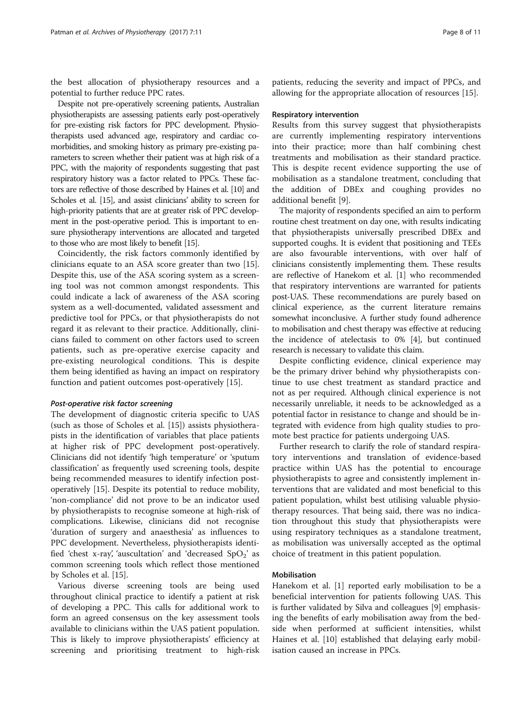the best allocation of physiotherapy resources and a potential to further reduce PPC rates.

Despite not pre-operatively screening patients, Australian physiotherapists are assessing patients early post-operatively for pre-existing risk factors for PPC development. Physiotherapists used advanced age, respiratory and cardiac comorbidities, and smoking history as primary pre-existing parameters to screen whether their patient was at high risk of a PPC, with the majority of respondents suggesting that past respiratory history was a factor related to PPCs. These factors are reflective of those described by Haines et al. [\[10](#page-9-0)] and Scholes et al. [[15\]](#page-10-0), and assist clinicians' ability to screen for high-priority patients that are at greater risk of PPC development in the post-operative period. This is important to ensure physiotherapy interventions are allocated and targeted to those who are most likely to benefit [\[15](#page-10-0)].

Coincidently, the risk factors commonly identified by clinicians equate to an ASA score greater than two [\[15](#page-10-0)]. Despite this, use of the ASA scoring system as a screening tool was not common amongst respondents. This could indicate a lack of awareness of the ASA scoring system as a well-documented, validated assessment and predictive tool for PPCs, or that physiotherapists do not regard it as relevant to their practice. Additionally, clinicians failed to comment on other factors used to screen patients, such as pre-operative exercise capacity and pre-existing neurological conditions. This is despite them being identified as having an impact on respiratory function and patient outcomes post-operatively [[15\]](#page-10-0).

The development of diagnostic criteria specific to UAS (such as those of Scholes et al. [\[15\]](#page-10-0)) assists physiotherapists in the identification of variables that place patients at higher risk of PPC development post-operatively. Clinicians did not identify 'high temperature' or 'sputum classification' as frequently used screening tools, despite being recommended measures to identify infection postoperatively [[15](#page-10-0)]. Despite its potential to reduce mobility, 'non-compliance' did not prove to be an indicator used by physiotherapists to recognise someone at high-risk of complications. Likewise, clinicians did not recognise 'duration of surgery and anaesthesia' as influences to PPC development. Nevertheless, physiotherapists identified 'chest x-ray', 'auscultation' and 'decreased  $SpO<sub>2</sub>$ ' as common screening tools which reflect those mentioned by Scholes et al. [\[15](#page-10-0)].

Various diverse screening tools are being used throughout clinical practice to identify a patient at risk of developing a PPC. This calls for additional work to form an agreed consensus on the key assessment tools available to clinicians within the UAS patient population. This is likely to improve physiotherapists' efficiency at screening and prioritising treatment to high-risk

patients, reducing the severity and impact of PPCs, and allowing for the appropriate allocation of resources [\[15](#page-10-0)].

#### Respiratory intervention

Results from this survey suggest that physiotherapists are currently implementing respiratory interventions into their practice; more than half combining chest treatments and mobilisation as their standard practice. This is despite recent evidence supporting the use of mobilisation as a standalone treatment, concluding that the addition of DBEx and coughing provides no additional benefit [\[9](#page-9-0)].

The majority of respondents specified an aim to perform routine chest treatment on day one, with results indicating that physiotherapists universally prescribed DBEx and supported coughs. It is evident that positioning and TEEs are also favourable interventions, with over half of clinicians consistently implementing them. These results are reflective of Hanekom et al. [[1\]](#page-9-0) who recommended that respiratory interventions are warranted for patients post-UAS. These recommendations are purely based on clinical experience, as the current literature remains somewhat inconclusive. A further study found adherence to mobilisation and chest therapy was effective at reducing the incidence of atelectasis to 0% [[4\]](#page-9-0), but continued research is necessary to validate this claim.

Despite conflicting evidence, clinical experience may be the primary driver behind why physiotherapists continue to use chest treatment as standard practice and not as per required. Although clinical experience is not necessarily unreliable, it needs to be acknowledged as a potential factor in resistance to change and should be integrated with evidence from high quality studies to promote best practice for patients undergoing UAS.

Further research to clarify the role of standard respiratory interventions and translation of evidence-based practice within UAS has the potential to encourage physiotherapists to agree and consistently implement interventions that are validated and most beneficial to this patient population, whilst best utilising valuable physiotherapy resources. That being said, there was no indication throughout this study that physiotherapists were using respiratory techniques as a standalone treatment, as mobilisation was universally accepted as the optimal choice of treatment in this patient population.

#### Mobilisation

Hanekom et al. [[1](#page-9-0)] reported early mobilisation to be a beneficial intervention for patients following UAS. This is further validated by Silva and colleagues [\[9\]](#page-9-0) emphasising the benefits of early mobilisation away from the bedside when performed at sufficient intensities, whilst Haines et al. [[10\]](#page-9-0) established that delaying early mobilisation caused an increase in PPCs.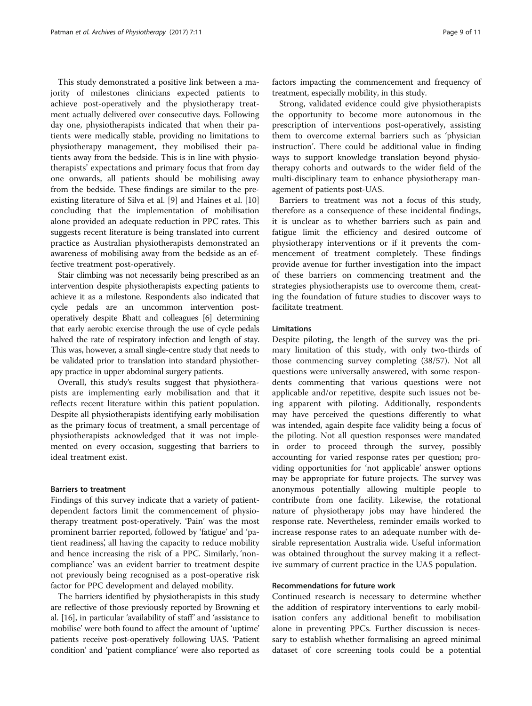This study demonstrated a positive link between a majority of milestones clinicians expected patients to achieve post-operatively and the physiotherapy treatment actually delivered over consecutive days. Following day one, physiotherapists indicated that when their patients were medically stable, providing no limitations to physiotherapy management, they mobilised their patients away from the bedside. This is in line with physiotherapists' expectations and primary focus that from day one onwards, all patients should be mobilising away from the bedside. These findings are similar to the preexisting literature of Silva et al. [[9\]](#page-9-0) and Haines et al. [[10](#page-9-0)] concluding that the implementation of mobilisation alone provided an adequate reduction in PPC rates. This suggests recent literature is being translated into current practice as Australian physiotherapists demonstrated an awareness of mobilising away from the bedside as an effective treatment post-operatively.

Stair climbing was not necessarily being prescribed as an intervention despite physiotherapists expecting patients to achieve it as a milestone. Respondents also indicated that cycle pedals are an uncommon intervention postoperatively despite Bhatt and colleagues [\[6\]](#page-9-0) determining that early aerobic exercise through the use of cycle pedals halved the rate of respiratory infection and length of stay. This was, however, a small single-centre study that needs to be validated prior to translation into standard physiotherapy practice in upper abdominal surgery patients.

Overall, this study's results suggest that physiotherapists are implementing early mobilisation and that it reflects recent literature within this patient population. Despite all physiotherapists identifying early mobilisation as the primary focus of treatment, a small percentage of physiotherapists acknowledged that it was not implemented on every occasion, suggesting that barriers to ideal treatment exist.

#### Barriers to treatment

Findings of this survey indicate that a variety of patientdependent factors limit the commencement of physiotherapy treatment post-operatively. 'Pain' was the most prominent barrier reported, followed by 'fatigue' and 'patient readiness', all having the capacity to reduce mobility and hence increasing the risk of a PPC. Similarly, 'noncompliance' was an evident barrier to treatment despite not previously being recognised as a post-operative risk factor for PPC development and delayed mobility.

The barriers identified by physiotherapists in this study are reflective of those previously reported by Browning et al. [[16](#page-10-0)], in particular 'availability of staff' and 'assistance to mobilise' were both found to affect the amount of 'uptime' patients receive post-operatively following UAS. 'Patient condition' and 'patient compliance' were also reported as factors impacting the commencement and frequency of treatment, especially mobility, in this study.

Strong, validated evidence could give physiotherapists the opportunity to become more autonomous in the prescription of interventions post-operatively, assisting them to overcome external barriers such as 'physician instruction'. There could be additional value in finding ways to support knowledge translation beyond physiotherapy cohorts and outwards to the wider field of the multi-disciplinary team to enhance physiotherapy management of patients post-UAS.

Barriers to treatment was not a focus of this study, therefore as a consequence of these incidental findings, it is unclear as to whether barriers such as pain and fatigue limit the efficiency and desired outcome of physiotherapy interventions or if it prevents the commencement of treatment completely. These findings provide avenue for further investigation into the impact of these barriers on commencing treatment and the strategies physiotherapists use to overcome them, creating the foundation of future studies to discover ways to facilitate treatment.

#### Limitations

Despite piloting, the length of the survey was the primary limitation of this study, with only two-thirds of those commencing survey completing (38/57). Not all questions were universally answered, with some respondents commenting that various questions were not applicable and/or repetitive, despite such issues not being apparent with piloting. Additionally, respondents may have perceived the questions differently to what was intended, again despite face validity being a focus of the piloting. Not all question responses were mandated in order to proceed through the survey, possibly accounting for varied response rates per question; providing opportunities for 'not applicable' answer options may be appropriate for future projects. The survey was anonymous potentially allowing multiple people to contribute from one facility. Likewise, the rotational nature of physiotherapy jobs may have hindered the response rate. Nevertheless, reminder emails worked to increase response rates to an adequate number with desirable representation Australia wide. Useful information was obtained throughout the survey making it a reflective summary of current practice in the UAS population.

#### Recommendations for future work

Continued research is necessary to determine whether the addition of respiratory interventions to early mobilisation confers any additional benefit to mobilisation alone in preventing PPCs. Further discussion is necessary to establish whether formalising an agreed minimal dataset of core screening tools could be a potential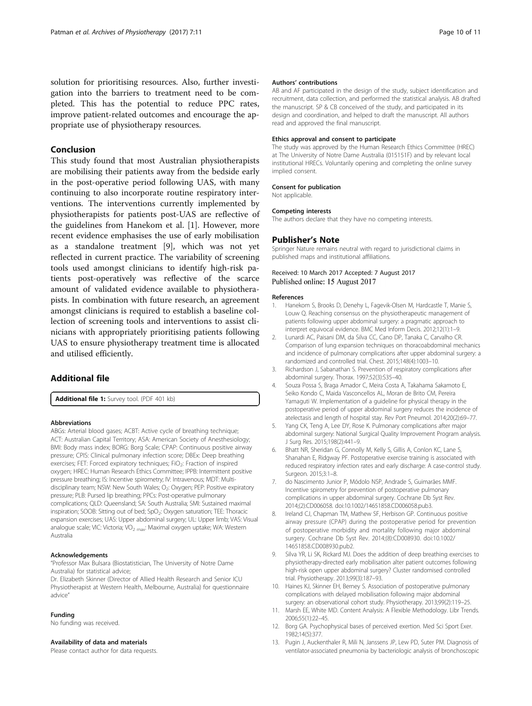<span id="page-9-0"></span>solution for prioritising resources. Also, further investigation into the barriers to treatment need to be completed. This has the potential to reduce PPC rates, improve patient-related outcomes and encourage the appropriate use of physiotherapy resources.

#### Conclusion

This study found that most Australian physiotherapists are mobilising their patients away from the bedside early in the post-operative period following UAS, with many continuing to also incorporate routine respiratory interventions. The interventions currently implemented by physiotherapists for patients post-UAS are reflective of the guidelines from Hanekom et al. [1]. However, more recent evidence emphasises the use of early mobilisation as a standalone treatment [9], which was not yet reflected in current practice. The variability of screening tools used amongst clinicians to identify high-risk patients post-operatively was reflective of the scarce amount of validated evidence available to physiotherapists. In combination with future research, an agreement amongst clinicians is required to establish a baseline collection of screening tools and interventions to assist clinicians with appropriately prioritising patients following UAS to ensure physiotherapy treatment time is allocated and utilised efficiently.

#### Additional file

[Additional file 1:](dx.doi.org/10.1186/s40945-017-0039-3) Survey tool. (PDF 401 kb)

#### Abbreviations

ABGs: Arterial blood gases; ACBT: Active cycle of breathing technique; ACT: Australian Capital Territory; ASA: American Society of Anesthesiology; BMI: Body mass index; BORG: Borg Scale; CPAP: Continuous positive airway pressure; CPIS: Clinical pulmonary infection score; DBEx: Deep breathing exercises; FET: Forced expiratory techniques; FiO<sub>2</sub>: Fraction of inspired oxygen; HREC: Human Research Ethics Committee; IPPB: Intermittent positive pressure breathing; IS: Incentive spirometry; IV: Intravenous; MDT: Multidisciplinary team; NSW: New South Wales; O<sub>2</sub>: Oxygen; PEP: Positive expiratory pressure; PLB: Pursed lip breathing; PPCs: Post-operative pulmonary complications; QLD: Queensland; SA: South Australia; SMI: Sustained maximal inspiration; SOOB: Sitting out of bed; SpO<sub>2</sub>: Oxygen saturation; TEE: Thoracic expansion exercises; UAS: Upper abdominal surgery; UL: Upper limb; VAS: Visual analogue scale; VIC: Victoria; VO<sub>2 max</sub>: Maximal oxygen uptake; WA: Western Australia

#### Acknowledgements

"Professor Max Bulsara (Biostatistician, The University of Notre Dame Australia) for statistical advice;

Dr. Elizabeth Skinner (Director of Allied Health Research and Senior ICU Physiotherapist at Western Health, Melbourne, Australia) for questionnaire advice"

#### Funding

No funding was received.

#### Availability of data and materials

Please contact author for data requests.

#### Authors' contributions

AB and AF participated in the design of the study, subject identification and recruitment, data collection, and performed the statistical analysis. AB drafted the manuscript. SP & CB conceived of the study, and participated in its design and coordination, and helped to draft the manuscript. All authors read and approved the final manuscript.

#### Ethics approval and consent to participate

The study was approved by the Human Research Ethics Committee (HREC) at The University of Notre Dame Australia (015151F) and by relevant local institutional HRECs. Voluntarily opening and completing the online survey implied consent.

#### Consent for publication

Not applicable.

#### Competing interests

The authors declare that they have no competing interests.

#### Publisher's Note

Springer Nature remains neutral with regard to jurisdictional claims in published maps and institutional affiliations.

#### Received: 10 March 2017 Accepted: 7 August 2017 Published online: 15 August 2017

#### References

- 1. Hanekom S, Brooks D, Denehy L, Fagevik-Olsen M, Hardcastle T, Manie S, Louw Q. Reaching consensus on the physiotherapeutic management of patients following upper abdominal surgery: a pragmatic approach to interpret equivocal evidence. BMC Med Inform Decis. 2012;12(1):1–9.
- 2. Lunardi AC, Paisani DM, da Silva CC, Cano DP, Tanaka C, Carvalho CR. Comparison of lung expansion techniques on thoracoabdominal mechanics and incidence of pulmonary complications after upper abdominal surgery: a randomized and controlled trial. Chest. 2015;148(4):1003–10.
- 3. Richardson J, Sabanathan S. Prevention of respiratory complications after abdominal surgery. Thorax. 1997;52(3):S35–40.
- 4. Souza Possa S, Braga Amador C, Meira Costa A, Takahama Sakamoto E, Seiko Kondo C, Maida Vasconcellos AL, Moran de Brito CM, Pereira Yamaguti W. Implementation of a guideline for physical therapy in the postoperative period of upper abdominal surgery reduces the incidence of atelectasis and length of hospital stay. Rev Port Pneumol. 2014;20(2):69–77.
- 5. Yang CK, Teng A, Lee DY, Rose K. Pulmonary complications after major abdominal surgery: National Surgical Quality Improvement Program analysis. J Surg Res. 2015;198(2):441–9.
- 6. Bhatt NR, Sheridan G, Connolly M, Kelly S, Gillis A, Conlon KC, Lane S, Shanahan E, Ridgway PF. Postoperative exercise training is associated with reduced respiratory infection rates and early discharge: A case-control study. Surgeon. 2015;3:1–8.
- 7. do Nascimento Junior P, Módolo NSP, Andrade S, Guimarães MMF. Incentive spirometry for prevention of postoperative pulmonary complications in upper abdominal surgery. Cochrane Db Syst Rev. 2014;(2):CD006058. doi:[10.1002/14651858.CD006058.pub3](http://dx.doi.org/10.1002/14651858.CD006058.pub3).
- 8. Ireland CJ, Chapman TM, Mathew SF, Herbison GP. Continuous positive airway pressure (CPAP) during the postoperative period for prevention of postoperative morbidity and mortality following major abdominal surgery. Cochrane Db Syst Rev. 2014;(8):CD008930. doi:[10.1002/](http://dx.doi.org/10.1002/14651858.CD008930.pub2) [14651858.CD008930.pub2](http://dx.doi.org/10.1002/14651858.CD008930.pub2).
- 9. Silva YR, Li SK, Rickard MJ. Does the addition of deep breathing exercises to physiotherapy-directed early mobilisation alter patient outcomes following high-risk open upper abdominal surgery? Cluster randomised controlled trial. Physiotherapy. 2013;99(3):187–93.
- 10. Haines KJ, Skinner EH, Berney S. Association of postoperative pulmonary complications with delayed mobilisation following major abdominal surgery: an observational cohort study. Physiotherapy. 2013;99(2):119–25.
- 11. Marsh EE, White MD. Content Analysis: A Flexible Methodology. Libr Trends. 2006;55(1):22–45.
- 12. Borg GA. Psychophysical bases of perceived exertion. Med Sci Sport Exer. 1982;14(5):377.
- 13. Pugin J, Auckenthaler R, Mili N, Janssens JP, Lew PD, Suter PM. Diagnosis of ventilator-associated pneumonia by bacteriologic analysis of bronchoscopic